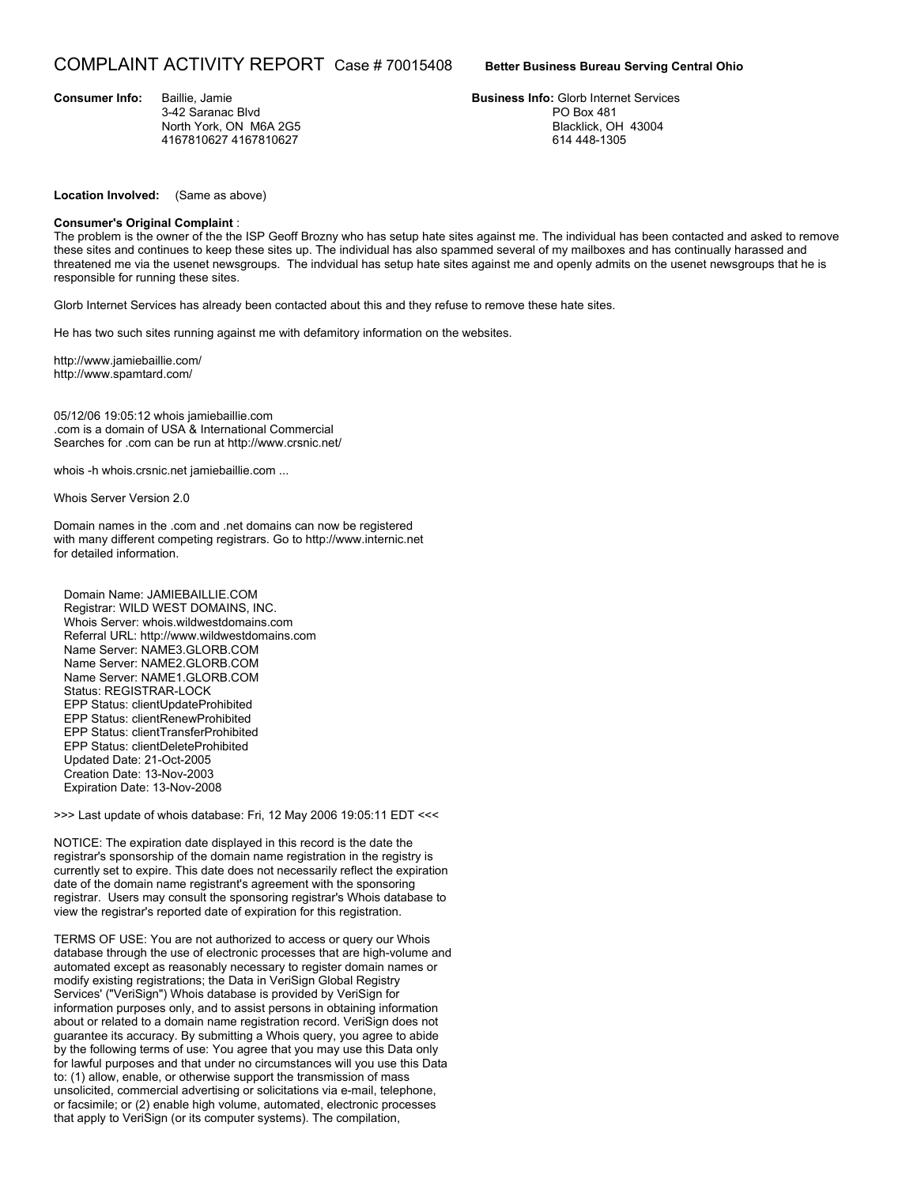**Consumer Info:** Baillie, Jamie **Business Info:** Glorb Internet Services 4167810627 4167810627

3-42 Saranac Blvd<br>
North York, ON M6A 2G5 **PO Box 481**<br>
North York, ON M6A 2G5 North York, ON M6A 2G5 Blacklick, OH 4167810627 Blacklick, OH 446-1305

**Location Involved:** (Same as above)

## **Consumer's Original Complaint** :

The problem is the owner of the the ISP Geoff Brozny who has setup hate sites against me. The individual has been contacted and asked to remove these sites and continues to keep these sites up. The individual has also spammed several of my mailboxes and has continually harassed and threatened me via the usenet newsgroups. The indvidual has setup hate sites against me and openly admits on the usenet newsgroups that he is responsible for running these sites.

Glorb Internet Services has already been contacted about this and they refuse to remove these hate sites.

He has two such sites running against me with defamitory information on the websites.

http://www.jamiebaillie.com/ http://www.spamtard.com/

05/12/06 19:05:12 whois jamiebaillie.com .com is a domain of USA & International Commercial Searches for .com can be run at http://www.crsnic.net/

whois -h whois.crsnic.net jamiebaillie.com ...

Whois Server Version 2.0

Domain names in the .com and .net domains can now be registered with many different competing registrars. Go to http://www.internic.net for detailed information.

Domain Name: JAMIEBAILLIE.COM Registrar: WILD WEST DOMAINS, INC. Whois Server: whois.wildwestdomains.com Referral URL: http://www.wildwestdomains.com Name Server: NAME3.GLORB.COM Name Server: NAME2.GLORB.COM Name Server: NAME1.GLORB.COM Status: REGISTRAR-LOCK EPP Status: clientUpdateProhibited EPP Status: clientRenewProhibited EPP Status: clientTransferProhibited EPP Status: clientDeleteProhibited Updated Date: 21-Oct-2005 Creation Date: 13-Nov-2003 Expiration Date: 13-Nov-2008

>>> Last update of whois database: Fri, 12 May 2006 19:05:11 EDT <<<

NOTICE: The expiration date displayed in this record is the date the registrar's sponsorship of the domain name registration in the registry is currently set to expire. This date does not necessarily reflect the expiration date of the domain name registrant's agreement with the sponsoring registrar. Users may consult the sponsoring registrar's Whois database to view the registrar's reported date of expiration for this registration.

TERMS OF USE: You are not authorized to access or query our Whois database through the use of electronic processes that are high-volume and automated except as reasonably necessary to register domain names or modify existing registrations; the Data in VeriSign Global Registry Services' ("VeriSign") Whois database is provided by VeriSign for information purposes only, and to assist persons in obtaining information about or related to a domain name registration record. VeriSign does not guarantee its accuracy. By submitting a Whois query, you agree to abide by the following terms of use: You agree that you may use this Data only for lawful purposes and that under no circumstances will you use this Data to: (1) allow, enable, or otherwise support the transmission of mass unsolicited, commercial advertising or solicitations via e-mail, telephone, or facsimile; or (2) enable high volume, automated, electronic processes that apply to VeriSign (or its computer systems). The compilation,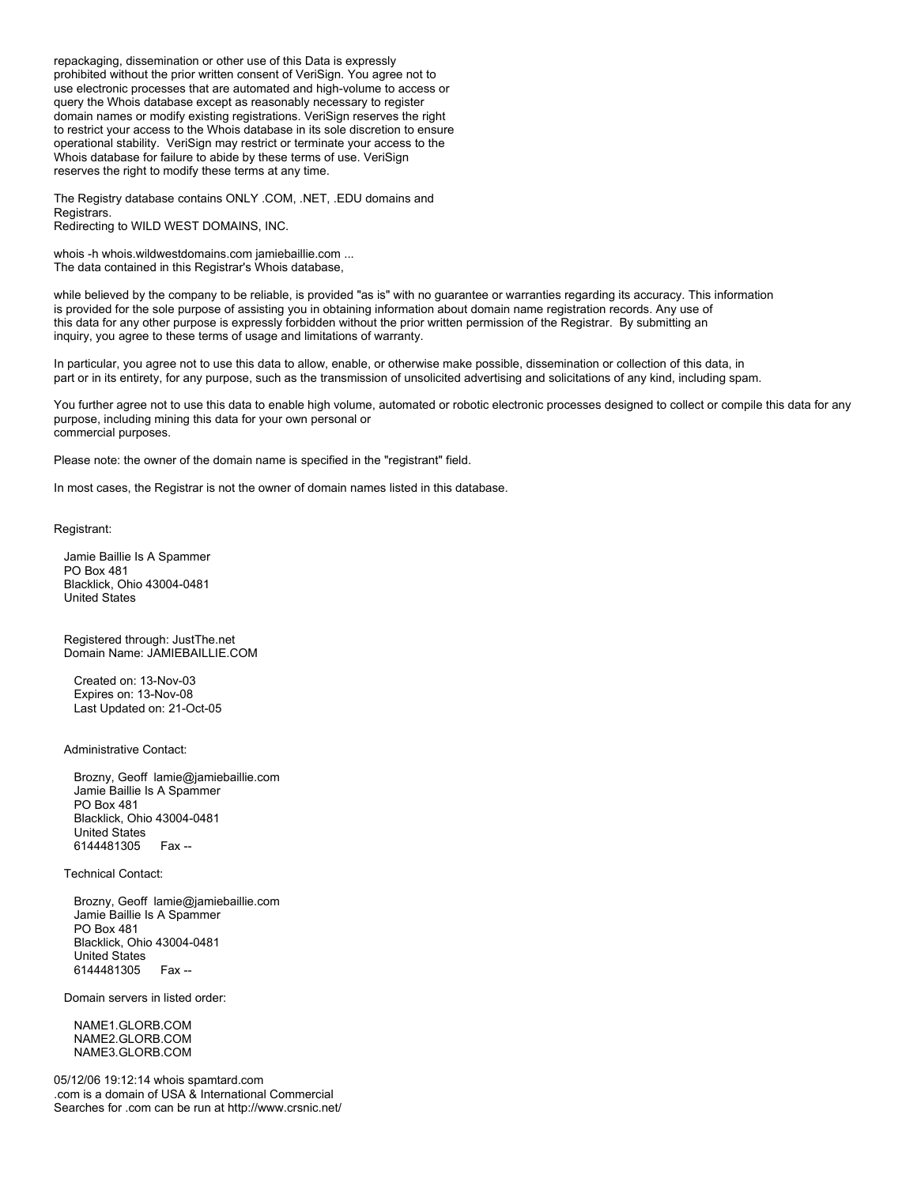repackaging, dissemination or other use of this Data is expressly prohibited without the prior written consent of VeriSign. You agree not to use electronic processes that are automated and high-volume to access or query the Whois database except as reasonably necessary to register domain names or modify existing registrations. VeriSign reserves the right to restrict your access to the Whois database in its sole discretion to ensure operational stability. VeriSign may restrict or terminate your access to the Whois database for failure to abide by these terms of use. VeriSign reserves the right to modify these terms at any time.

The Registry database contains ONLY .COM, .NET, .EDU domains and Registrars. Redirecting to WILD WEST DOMAINS, INC.

whois -h whois.wildwestdomains.com jamiebaillie.com ... The data contained in this Registrar's Whois database,

while believed by the company to be reliable, is provided "as is" with no guarantee or warranties regarding its accuracy. This information is provided for the sole purpose of assisting you in obtaining information about domain name registration records. Any use of this data for any other purpose is expressly forbidden without the prior written permission of the Registrar. By submitting an inquiry, you agree to these terms of usage and limitations of warranty.

In particular, you agree not to use this data to allow, enable, or otherwise make possible, dissemination or collection of this data, in part or in its entirety, for any purpose, such as the transmission of unsolicited advertising and solicitations of any kind, including spam.

You further agree not to use this data to enable high volume, automated or robotic electronic processes designed to collect or compile this data for any purpose, including mining this data for your own personal or commercial purposes.

Please note: the owner of the domain name is specified in the "registrant" field.

In most cases, the Registrar is not the owner of domain names listed in this database.

Registrant:

Jamie Baillie Is A Spammer PO Box 481 Blacklick, Ohio 43004-0481 United States

Registered through: JustThe.net Domain Name: JAMIEBAILLIE.COM

Created on: 13-Nov-03 Expires on: 13-Nov-08 Last Updated on: 21-Oct-05

Administrative Contact:

Brozny, Geoff lamie@jamiebaillie.com Jamie Baillie Is A Spammer PO Box 481 Blacklick, Ohio 43004-0481 United States 6144481305 Fax --

Technical Contact:

Brozny, Geoff lamie@jamiebaillie.com Jamie Baillie Is A Spammer PO Box 481 Blacklick, Ohio 43004-0481 United States 6144481305 Fax --

Domain servers in listed order:

NAME1.GLORB.COM NAME2.GLORB.COM NAME3.GLORB.COM

05/12/06 19:12:14 whois spamtard.com .com is a domain of USA & International Commercial Searches for .com can be run at http://www.crsnic.net/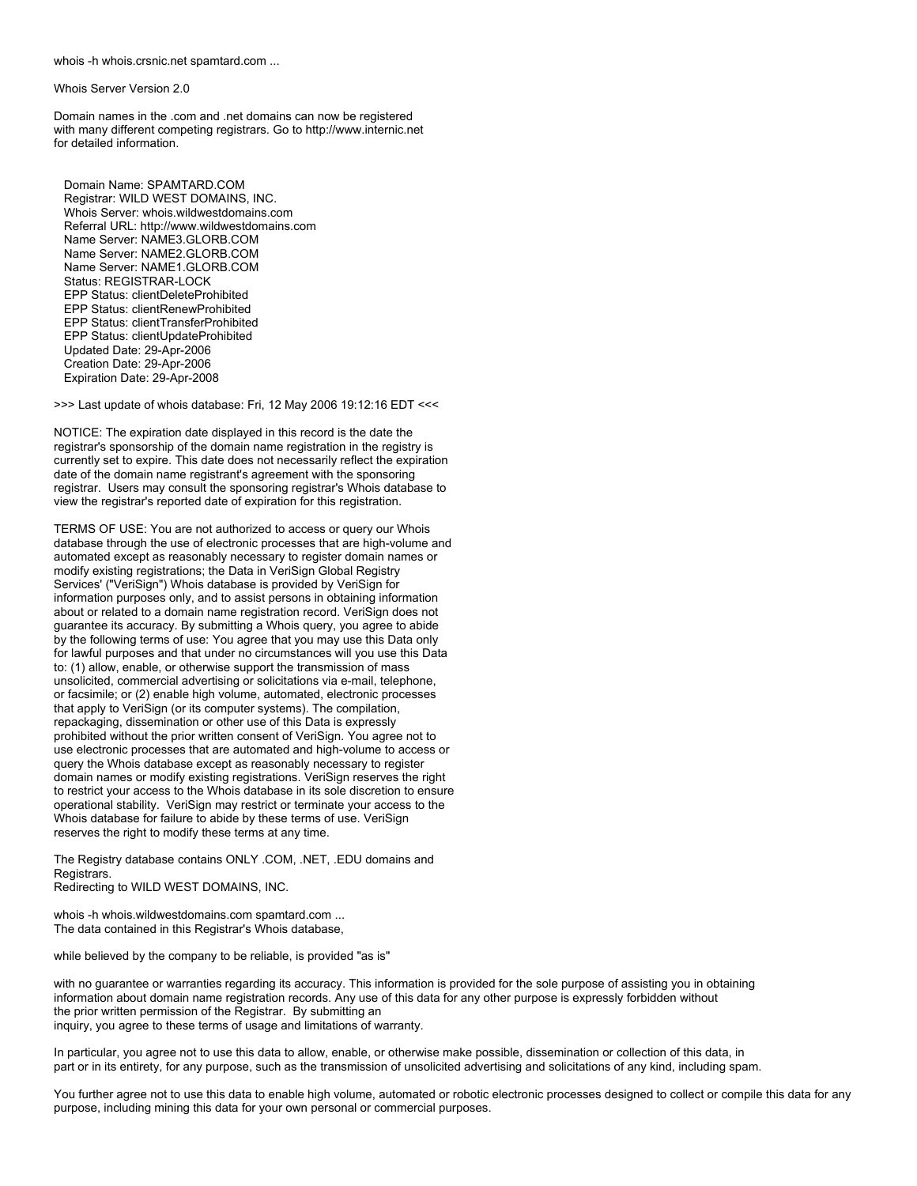whois -h whois.crsnic.net spamtard.com ...

Whois Server Version 2.0

Domain names in the .com and .net domains can now be registered with many different competing registrars. Go to http://www.internic.net for detailed information.

Domain Name: SPAMTARD.COM Registrar: WILD WEST DOMAINS, INC. Whois Server: whois.wildwestdomains.com Referral URL: http://www.wildwestdomains.com Name Server: NAME3.GLORB.COM Name Server: NAME2.GLORB.COM Name Server: NAME1.GLORB.COM Status: REGISTRAR-LOCK EPP Status: clientDeleteProhibited EPP Status: clientRenewProhibited EPP Status: clientTransferProhibited EPP Status: clientUpdateProhibited Updated Date: 29-Apr-2006 Creation Date: 29-Apr-2006 Expiration Date: 29-Apr-2008

>>> Last update of whois database: Fri, 12 May 2006 19:12:16 EDT <<<

NOTICE: The expiration date displayed in this record is the date the registrar's sponsorship of the domain name registration in the registry is currently set to expire. This date does not necessarily reflect the expiration date of the domain name registrant's agreement with the sponsoring registrar. Users may consult the sponsoring registrar's Whois database to view the registrar's reported date of expiration for this registration.

TERMS OF USE: You are not authorized to access or query our Whois database through the use of electronic processes that are high-volume and automated except as reasonably necessary to register domain names or modify existing registrations; the Data in VeriSign Global Registry Services' ("VeriSign") Whois database is provided by VeriSign for information purposes only, and to assist persons in obtaining information about or related to a domain name registration record. VeriSign does not guarantee its accuracy. By submitting a Whois query, you agree to abide by the following terms of use: You agree that you may use this Data only for lawful purposes and that under no circumstances will you use this Data to: (1) allow, enable, or otherwise support the transmission of mass unsolicited, commercial advertising or solicitations via e-mail, telephone, or facsimile; or (2) enable high volume, automated, electronic processes that apply to VeriSign (or its computer systems). The compilation, repackaging, dissemination or other use of this Data is expressly prohibited without the prior written consent of VeriSign. You agree not to use electronic processes that are automated and high-volume to access or query the Whois database except as reasonably necessary to register domain names or modify existing registrations. VeriSign reserves the right to restrict your access to the Whois database in its sole discretion to ensure operational stability. VeriSign may restrict or terminate your access to the Whois database for failure to abide by these terms of use. VeriSign reserves the right to modify these terms at any time.

The Registry database contains ONLY .COM, .NET, .EDU domains and Registrars.

Redirecting to WILD WEST DOMAINS, INC.

whois -h whois.wildwestdomains.com spamtard.com ... The data contained in this Registrar's Whois database,

while believed by the company to be reliable, is provided "as is"

with no guarantee or warranties regarding its accuracy. This information is provided for the sole purpose of assisting you in obtaining information about domain name registration records. Any use of this data for any other purpose is expressly forbidden without the prior written permission of the Registrar. By submitting an inquiry, you agree to these terms of usage and limitations of warranty.

In particular, you agree not to use this data to allow, enable, or otherwise make possible, dissemination or collection of this data, in part or in its entirety, for any purpose, such as the transmission of unsolicited advertising and solicitations of any kind, including spam.

You further agree not to use this data to enable high volume, automated or robotic electronic processes designed to collect or compile this data for any purpose, including mining this data for your own personal or commercial purposes.